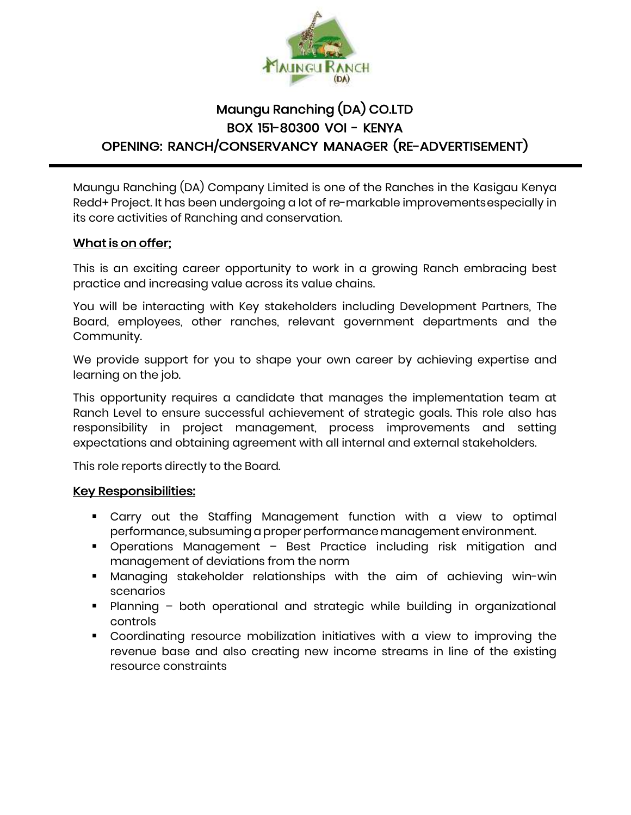

# Maungu Ranching (DA) CO.LTD BOX 151-80300 VOI - KENYA OPENING: RANCH/CONSERVANCY MANAGER (RE-ADVERTISEMENT)

Maungu Ranching (DA) Company Limited is one of the Ranches in the Kasigau Kenya Redd+ Project. It has been undergoing a lot of re-markable improvementsespecially in its core activities of Ranching and conservation.

#### What is on offer;

This is an exciting career opportunity to work in a growing Ranch embracing best practice and increasing value across its value chains.

You will be interacting with Key stakeholders including Development Partners, The Board, employees, other ranches, relevant government departments and the Community.

We provide support for you to shape your own career by achieving expertise and learning on the job.

This opportunity requires a candidate that manages the implementation team at Ranch Level to ensure successful achievement of strategic goals. This role also has responsibility in project management, process improvements and setting expectations and obtaining agreement with all internal and external stakeholders.

This role reports directly to the Board.

#### Key Responsibilities:

- Carry out the Staffing Management function with a view to optimal performance, subsuming a proper performance management environment.
- Operations Management Best Practice including risk mitigation and management of deviations from the norm
- **Managing stakeholder relationships with the aim of achieving win-win** scenarios
- Planning both operational and strategic while building in organizational controls
- Coordinating resource mobilization initiatives with a view to improving the revenue base and also creating new income streams in line of the existing resource constraints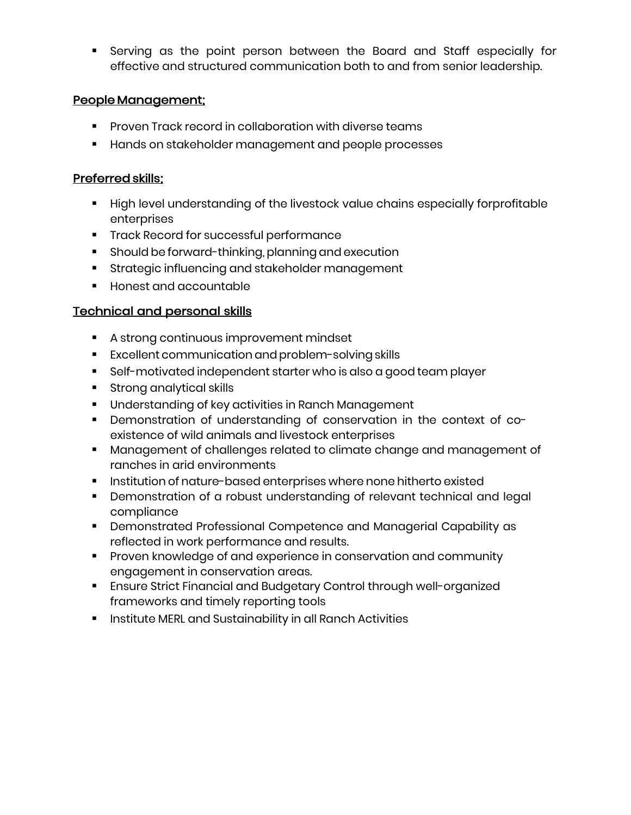▪ Serving as the point person between the Board and Staff especially for effective and structured communication both to and from senior leadership.

#### People Management;

- Proven Track record in collaboration with diverse teams
- Hands on stakeholder management and people processes

#### Preferred skills;

- High level understanding of the livestock value chains especially forprofitable enterprises
- Track Record for successful performance
- **E** Should be forward-thinking, planning and execution
- Strategic influencing and stakeholder management
- Honest and accountable

### Technical and personal skills

- A strong continuous improvement mindset
- Excellent communication and problem-solving skills
- Self-motivated independent starter who is also a good team player
- Strong analytical skills
- Understanding of key activities in Ranch Management
- Demonstration of understanding of conservation in the context of coexistence of wild animals and livestock enterprises
- Management of challenges related to climate change and management of ranches in arid environments
- **E** Institution of nature-based enterprises where none hitherto existed
- Demonstration of a robust understanding of relevant technical and legal compliance
- Demonstrated Professional Competence and Managerial Capability as reflected in work performance and results.
- Proven knowledge of and experience in conservation and community engagement in conservation areas.
- **Ensure Strict Financial and Budgetary Control through well-organized** frameworks and timely reporting tools
- Institute MERL and Sustainability in all Ranch Activities